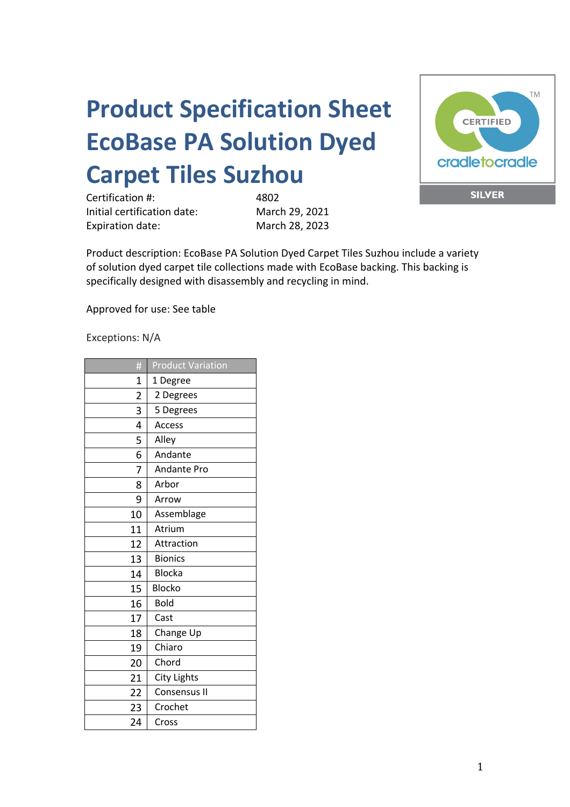## **Product Specification Sheet EcoBase PA Solution Dyed Carpet Tiles Suzhou**

Certification #: 4802 Initial certification date: March 29, 2021 Expiration date: March 28, 2023



Product description: EcoBase PA Solution Dyed Carpet Tiles Suzhou include a variety of solution dyed carpet tile collections made with EcoBase backing. This backing is specifically designed with disassembly and recycling in mind.

Approved for use: See table

Exceptions: N/A

| #              | <b>Product Variation</b> |
|----------------|--------------------------|
| 1              | 1 Degree                 |
| $\overline{2}$ | 2 Degrees                |
| 3              | 5 Degrees                |
| 4              | Access                   |
| 5              | Alley                    |
| 6              | Andante                  |
| 7              | <b>Andante Pro</b>       |
| 8              | Arbor                    |
| 9              | Arrow                    |
| 10             | Assemblage               |
| 11             | Atrium                   |
| 12             | Attraction               |
| 13             | <b>Bionics</b>           |
| 14             | <b>Blocka</b>            |
| 15             | Blocko                   |
| 16             | <b>Bold</b>              |
| 17             | Cast                     |
| 18             | Change Up                |
| 19             | Chiaro                   |
| 20             | Chord                    |
| 21             | City Lights              |
| 22             | Consensus II             |
| 23             | Crochet                  |
| 24             | Cross                    |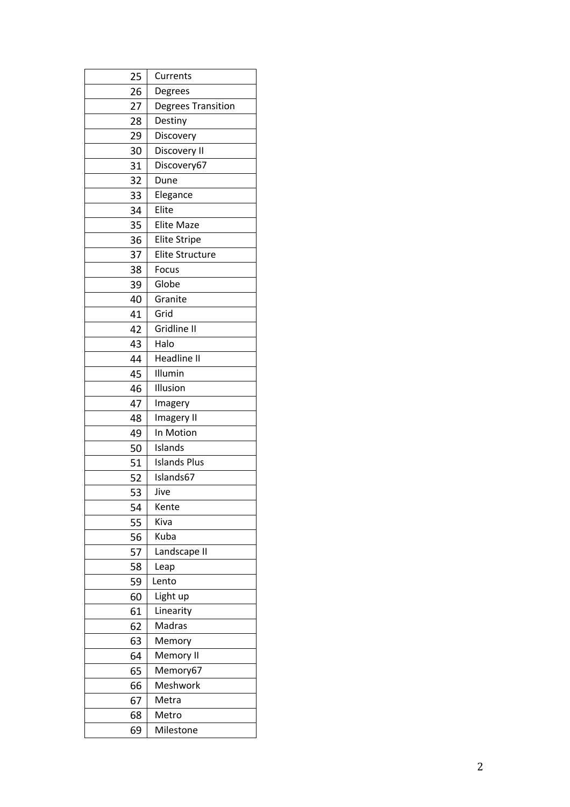| 25 | Currents                  |
|----|---------------------------|
| 26 | Degrees                   |
| 27 | <b>Degrees Transition</b> |
| 28 | Destiny                   |
| 29 | Discovery                 |
| 30 | Discovery II              |
| 31 | Discovery67               |
| 32 | Dune                      |
| 33 | Elegance                  |
| 34 | Elite                     |
| 35 | <b>Elite Maze</b>         |
| 36 | <b>Elite Stripe</b>       |
| 37 | <b>Elite Structure</b>    |
| 38 | Focus                     |
| 39 | Globe                     |
| 40 | Granite                   |
| 41 | Grid                      |
| 42 | Gridline II               |
| 43 | Halo                      |
| 44 | Headline II               |
| 45 | Illumin                   |
| 46 | Illusion                  |
| 47 | Imagery                   |
| 48 | Imagery II                |
| 49 | In Motion                 |
| 50 | Islands                   |
| 51 | <b>Islands Plus</b>       |
| 52 | Islands67                 |
| 53 | Jive                      |
| 54 | Kente                     |
| 55 | Kiva                      |
| 56 | Kuba                      |
| 57 | Landscape II              |
| 58 | Leap                      |
| 59 | Lento                     |
| 60 | Light up                  |
| 61 | Linearity                 |
| 62 | Madras                    |
| 63 | Memory                    |
| 64 | Memory II                 |
| 65 | Memory67                  |
| 66 | Meshwork                  |
| 67 | Metra                     |
| 68 | Metro                     |
| 69 | Milestone                 |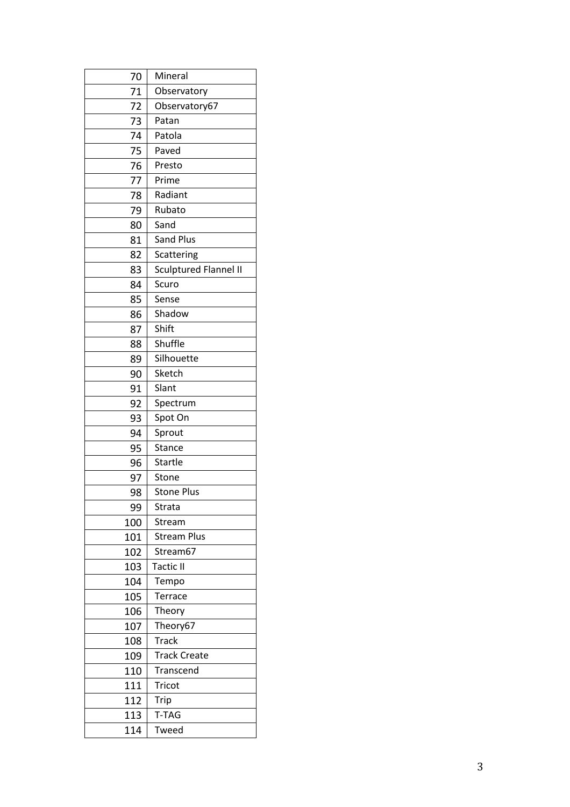| 70  | Mineral                      |
|-----|------------------------------|
| 71  | Observatory                  |
| 72  | Observatory67                |
| 73  | Patan                        |
| 74  | Patola                       |
| 75  | Paved                        |
| 76  | Presto                       |
| 77  | Prime                        |
| 78  | Radiant                      |
| 79  | Rubato                       |
| 80  | Sand                         |
| 81  | <b>Sand Plus</b>             |
| 82  | Scattering                   |
| 83  | <b>Sculptured Flannel II</b> |
| 84  | Scuro                        |
| 85  | Sense                        |
| 86  | Shadow                       |
| 87  | Shift                        |
| 88  | Shuffle                      |
| 89  | Silhouette                   |
| 90  | Sketch                       |
| 91  | Slant                        |
| 92  | Spectrum                     |
| 93  | Spot On                      |
| 94  | Sprout                       |
| 95  | Stance                       |
| 96  | <b>Startle</b>               |
| 97  | Stone                        |
| 98  | <b>Stone Plus</b>            |
| 99  | Strata                       |
| 100 | Stream                       |
| 101 | <b>Stream Plus</b>           |
| 102 | Stream67                     |
| 103 | <b>Tactic II</b>             |
| 104 | Tempo                        |
| 105 | Terrace                      |
| 106 | Theory                       |
| 107 | Theory67                     |
| 108 | <b>Track</b>                 |
| 109 | <b>Track Create</b>          |
| 110 | Transcend                    |
| 111 | <b>Tricot</b>                |
| 112 | Trip                         |
| 113 | T-TAG                        |
| 114 | Tweed                        |